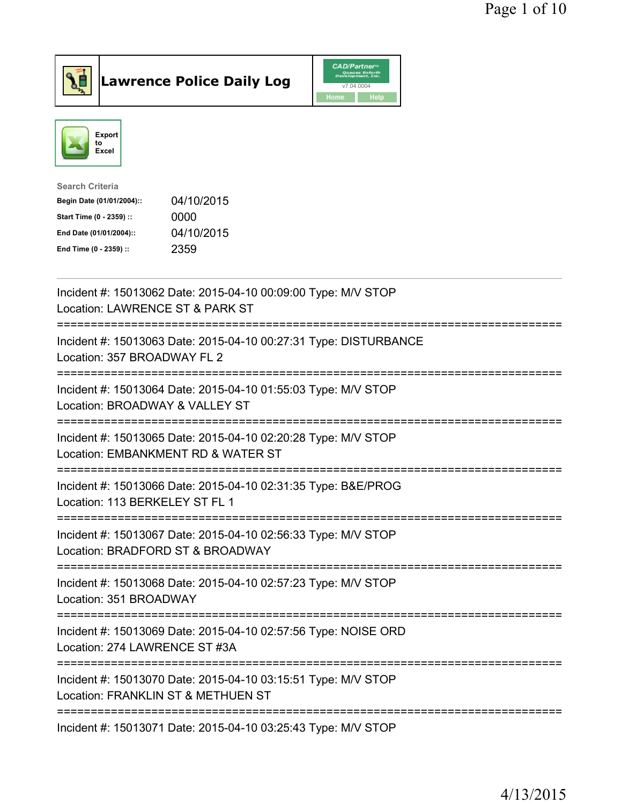



| <b>Search Criteria</b>    |            |
|---------------------------|------------|
| Begin Date (01/01/2004):: | 04/10/2015 |
| Start Time (0 - 2359) ::  | 0000       |
| End Date (01/01/2004)::   | 04/10/2015 |
| End Time (0 - 2359) ::    | 2359       |
|                           |            |

| Incident #: 15013062 Date: 2015-04-10 00:09:00 Type: M/V STOP<br>Location: LAWRENCE ST & PARK ST                                  |
|-----------------------------------------------------------------------------------------------------------------------------------|
| Incident #: 15013063 Date: 2015-04-10 00:27:31 Type: DISTURBANCE<br>Location: 357 BROADWAY FL 2                                   |
| Incident #: 15013064 Date: 2015-04-10 01:55:03 Type: M/V STOP<br>Location: BROADWAY & VALLEY ST<br>======================         |
| Incident #: 15013065 Date: 2015-04-10 02:20:28 Type: M/V STOP<br>Location: EMBANKMENT RD & WATER ST<br>=======================    |
| Incident #: 15013066 Date: 2015-04-10 02:31:35 Type: B&E/PROG<br>Location: 113 BERKELEY ST FL 1<br>----------------------         |
| Incident #: 15013067 Date: 2015-04-10 02:56:33 Type: M/V STOP<br>Location: BRADFORD ST & BROADWAY<br>---------------------------- |
| Incident #: 15013068 Date: 2015-04-10 02:57:23 Type: M/V STOP<br>Location: 351 BROADWAY<br>------------------------------------   |
| Incident #: 15013069 Date: 2015-04-10 02:57:56 Type: NOISE ORD<br>Location: 274 LAWRENCE ST #3A                                   |
| Incident #: 15013070 Date: 2015-04-10 03:15:51 Type: M/V STOP<br>Location: FRANKLIN ST & METHUEN ST                               |
| Incident #: 15013071 Date: 2015-04-10 03:25:43 Type: M/V STOP                                                                     |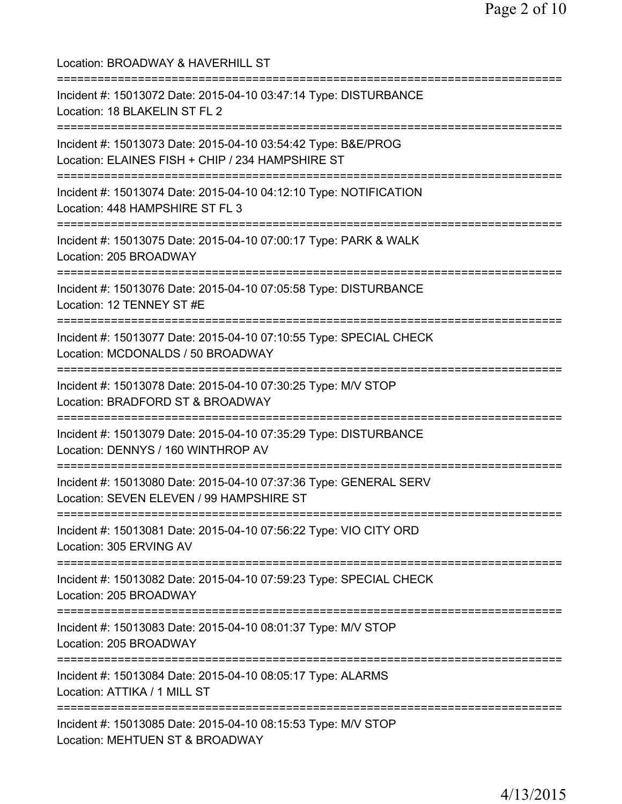| Location: BROADWAY & HAVERHILL ST<br>===============================                                                                  |
|---------------------------------------------------------------------------------------------------------------------------------------|
| Incident #: 15013072 Date: 2015-04-10 03:47:14 Type: DISTURBANCE<br>Location: 18 BLAKELIN ST FL 2                                     |
| Incident #: 15013073 Date: 2015-04-10 03:54:42 Type: B&E/PROG<br>Location: ELAINES FISH + CHIP / 234 HAMPSHIRE ST                     |
| Incident #: 15013074 Date: 2015-04-10 04:12:10 Type: NOTIFICATION<br>Location: 448 HAMPSHIRE ST FL 3                                  |
| Incident #: 15013075 Date: 2015-04-10 07:00:17 Type: PARK & WALK<br>Location: 205 BROADWAY                                            |
| Incident #: 15013076 Date: 2015-04-10 07:05:58 Type: DISTURBANCE<br>Location: 12 TENNEY ST #E                                         |
| Incident #: 15013077 Date: 2015-04-10 07:10:55 Type: SPECIAL CHECK<br>Location: MCDONALDS / 50 BROADWAY<br>;========================  |
| Incident #: 15013078 Date: 2015-04-10 07:30:25 Type: M/V STOP<br>Location: BRADFORD ST & BROADWAY<br>============================     |
| Incident #: 15013079 Date: 2015-04-10 07:35:29 Type: DISTURBANCE<br>Location: DENNYS / 160 WINTHROP AV<br>=========================== |
| Incident #: 15013080 Date: 2015-04-10 07:37:36 Type: GENERAL SERV<br>Location: SEVEN ELEVEN / 99 HAMPSHIRE ST                         |
| Incident #: 15013081 Date: 2015-04-10 07:56:22 Type: VIO CITY ORD<br>Location: 305 ERVING AV                                          |
| Incident #: 15013082 Date: 2015-04-10 07:59:23 Type: SPECIAL CHECK<br>Location: 205 BROADWAY                                          |
| ====================================<br>Incident #: 15013083 Date: 2015-04-10 08:01:37 Type: M/V STOP<br>Location: 205 BROADWAY       |
| ====================================<br>Incident #: 15013084 Date: 2015-04-10 08:05:17 Type: ALARMS<br>Location: ATTIKA / 1 MILL ST   |
| Incident #: 15013085 Date: 2015-04-10 08:15:53 Type: M/V STOP<br>Location: MEHTUEN ST & BROADWAY                                      |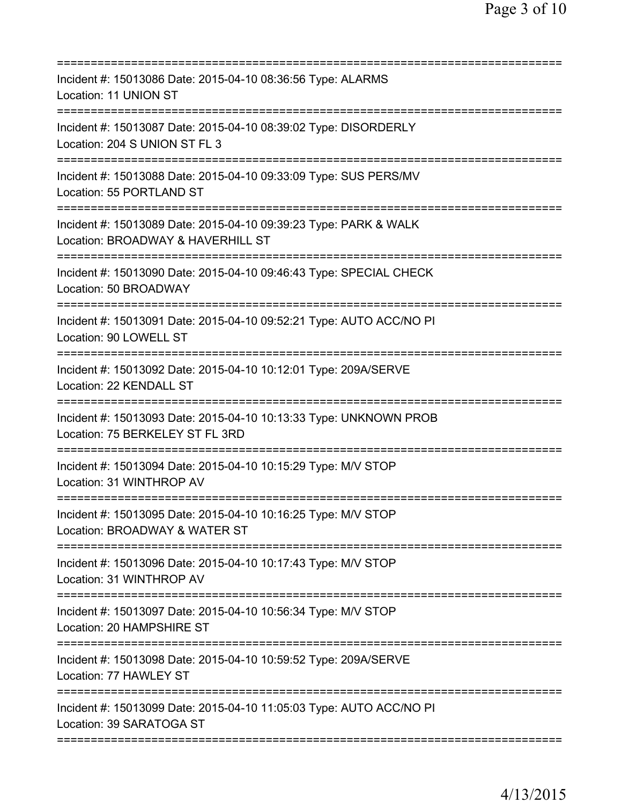| Incident #: 15013086 Date: 2015-04-10 08:36:56 Type: ALARMS<br>Location: 11 UNION ST                                                                |
|-----------------------------------------------------------------------------------------------------------------------------------------------------|
| Incident #: 15013087 Date: 2015-04-10 08:39:02 Type: DISORDERLY<br>Location: 204 S UNION ST FL 3                                                    |
| Incident #: 15013088 Date: 2015-04-10 09:33:09 Type: SUS PERS/MV<br>Location: 55 PORTLAND ST                                                        |
| Incident #: 15013089 Date: 2015-04-10 09:39:23 Type: PARK & WALK<br>Location: BROADWAY & HAVERHILL ST                                               |
| Incident #: 15013090 Date: 2015-04-10 09:46:43 Type: SPECIAL CHECK<br>Location: 50 BROADWAY                                                         |
| Incident #: 15013091 Date: 2015-04-10 09:52:21 Type: AUTO ACC/NO PI<br>Location: 90 LOWELL ST                                                       |
| Incident #: 15013092 Date: 2015-04-10 10:12:01 Type: 209A/SERVE<br>Location: 22 KENDALL ST                                                          |
| Incident #: 15013093 Date: 2015-04-10 10:13:33 Type: UNKNOWN PROB<br>Location: 75 BERKELEY ST FL 3RD<br>==============<br>========================= |
| Incident #: 15013094 Date: 2015-04-10 10:15:29 Type: M/V STOP<br>Location: 31 WINTHROP AV                                                           |
| Incident #: 15013095 Date: 2015-04-10 10:16:25 Type: M/V STOP<br>Location: BROADWAY & WATER ST                                                      |
| Incident #: 15013096 Date: 2015-04-10 10:17:43 Type: M/V STOP<br>Location: 31 WINTHROP AV                                                           |
| Incident #: 15013097 Date: 2015-04-10 10:56:34 Type: M/V STOP<br>Location: 20 HAMPSHIRE ST                                                          |
| Incident #: 15013098 Date: 2015-04-10 10:59:52 Type: 209A/SERVE<br>Location: 77 HAWLEY ST                                                           |
| Incident #: 15013099 Date: 2015-04-10 11:05:03 Type: AUTO ACC/NO PI<br>Location: 39 SARATOGA ST                                                     |
|                                                                                                                                                     |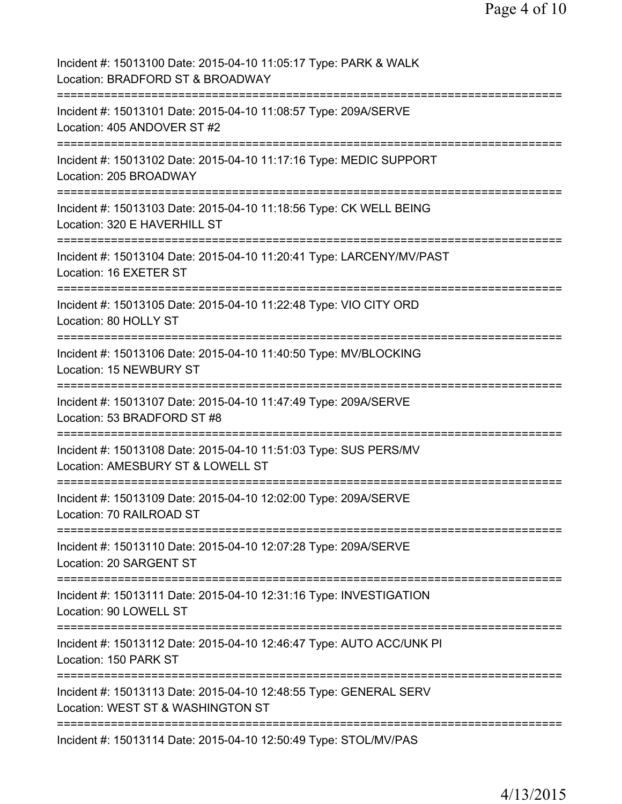| Incident #: 15013100 Date: 2015-04-10 11:05:17 Type: PARK & WALK<br>Location: BRADFORD ST & BROADWAY                                          |
|-----------------------------------------------------------------------------------------------------------------------------------------------|
| Incident #: 15013101 Date: 2015-04-10 11:08:57 Type: 209A/SERVE<br>Location: 405 ANDOVER ST #2                                                |
| Incident #: 15013102 Date: 2015-04-10 11:17:16 Type: MEDIC SUPPORT<br>Location: 205 BROADWAY                                                  |
| Incident #: 15013103 Date: 2015-04-10 11:18:56 Type: CK WELL BEING<br>Location: 320 E HAVERHILL ST                                            |
| Incident #: 15013104 Date: 2015-04-10 11:20:41 Type: LARCENY/MV/PAST<br>Location: 16 EXETER ST                                                |
| Incident #: 15013105 Date: 2015-04-10 11:22:48 Type: VIO CITY ORD<br>Location: 80 HOLLY ST<br>-----------                                     |
| Incident #: 15013106 Date: 2015-04-10 11:40:50 Type: MV/BLOCKING<br>Location: 15 NEWBURY ST                                                   |
| Incident #: 15013107 Date: 2015-04-10 11:47:49 Type: 209A/SERVE<br>Location: 53 BRADFORD ST #8                                                |
| ;===================================<br>Incident #: 15013108 Date: 2015-04-10 11:51:03 Type: SUS PERS/MV<br>Location: AMESBURY ST & LOWELL ST |
| Incident #: 15013109 Date: 2015-04-10 12:02:00 Type: 209A/SERVE<br>Location: 70 RAILROAD ST                                                   |
| Incident #: 15013110 Date: 2015-04-10 12:07:28 Type: 209A/SERVE<br>Location: 20 SARGENT ST                                                    |
| Incident #: 15013111 Date: 2015-04-10 12:31:16 Type: INVESTIGATION<br>Location: 90 LOWELL ST                                                  |
| Incident #: 15013112 Date: 2015-04-10 12:46:47 Type: AUTO ACC/UNK PI<br>Location: 150 PARK ST                                                 |
| Incident #: 15013113 Date: 2015-04-10 12:48:55 Type: GENERAL SERV<br>Location: WEST ST & WASHINGTON ST                                        |
| Incident #: 15013114 Date: 2015-04-10 12:50:49 Type: STOL/MV/PAS                                                                              |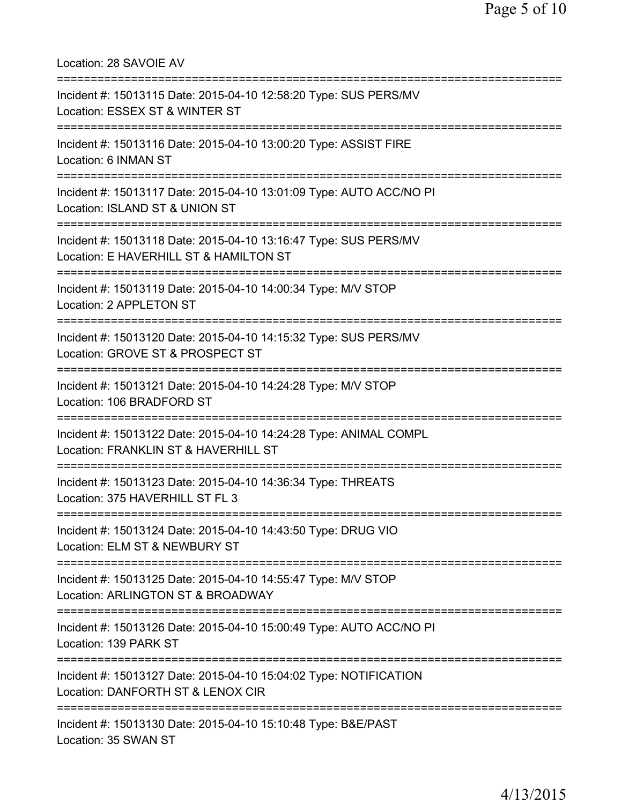Location: 28 SAVOIE AV =========================================================================== Incident #: 15013115 Date: 2015-04-10 12:58:20 Type: SUS PERS/MV Location: ESSEX ST & WINTER ST =========================================================================== Incident #: 15013116 Date: 2015-04-10 13:00:20 Type: ASSIST FIRE Location: 6 INMAN ST =========================================================================== Incident #: 15013117 Date: 2015-04-10 13:01:09 Type: AUTO ACC/NO PI Location: ISLAND ST & UNION ST =========================================================================== Incident #: 15013118 Date: 2015-04-10 13:16:47 Type: SUS PERS/MV Location: E HAVERHILL ST & HAMILTON ST =========================================================================== Incident #: 15013119 Date: 2015-04-10 14:00:34 Type: M/V STOP Location: 2 APPLETON ST =========================================================================== Incident #: 15013120 Date: 2015-04-10 14:15:32 Type: SUS PERS/MV Location: GROVE ST & PROSPECT ST =========================================================================== Incident #: 15013121 Date: 2015-04-10 14:24:28 Type: M/V STOP Location: 106 BRADFORD ST =========================================================================== Incident #: 15013122 Date: 2015-04-10 14:24:28 Type: ANIMAL COMPL Location: FRANKLIN ST & HAVERHILL ST =========================================================================== Incident #: 15013123 Date: 2015-04-10 14:36:34 Type: THREATS Location: 375 HAVERHILL ST FL 3 =========================================================================== Incident #: 15013124 Date: 2015-04-10 14:43:50 Type: DRUG VIO Location: ELM ST & NEWBURY ST =========================================================================== Incident #: 15013125 Date: 2015-04-10 14:55:47 Type: M/V STOP Location: ARLINGTON ST & BROADWAY =========================================================================== Incident #: 15013126 Date: 2015-04-10 15:00:49 Type: AUTO ACC/NO PI Location: 139 PARK ST =========================================================================== Incident #: 15013127 Date: 2015-04-10 15:04:02 Type: NOTIFICATION Location: DANFORTH ST & LENOX CIR =========================================================================== Incident #: 15013130 Date: 2015-04-10 15:10:48 Type: B&E/PAST Location: 35 SWAN ST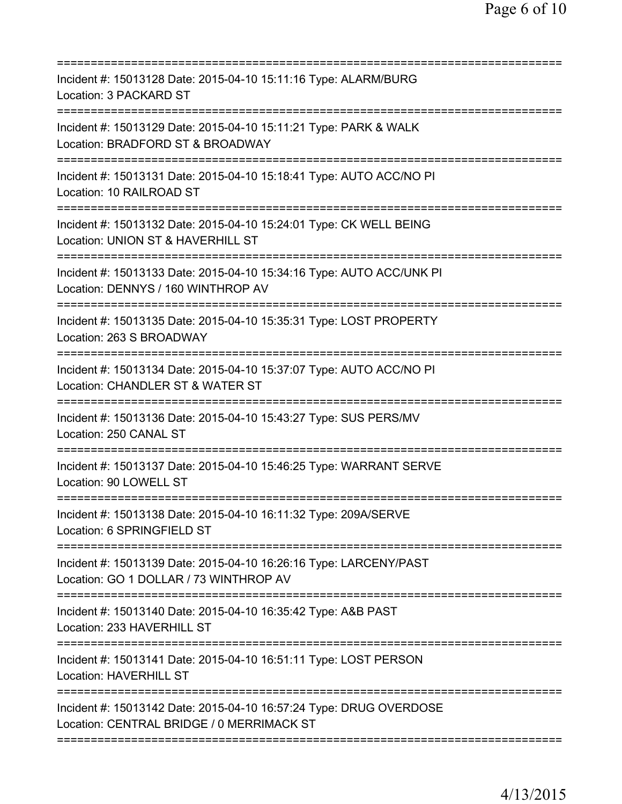| Incident #: 15013128 Date: 2015-04-10 15:11:16 Type: ALARM/BURG<br>Location: 3 PACKARD ST                       |
|-----------------------------------------------------------------------------------------------------------------|
| Incident #: 15013129 Date: 2015-04-10 15:11:21 Type: PARK & WALK<br>Location: BRADFORD ST & BROADWAY            |
| Incident #: 15013131 Date: 2015-04-10 15:18:41 Type: AUTO ACC/NO PI<br>Location: 10 RAILROAD ST                 |
| Incident #: 15013132 Date: 2015-04-10 15:24:01 Type: CK WELL BEING<br>Location: UNION ST & HAVERHILL ST         |
| Incident #: 15013133 Date: 2015-04-10 15:34:16 Type: AUTO ACC/UNK PI<br>Location: DENNYS / 160 WINTHROP AV      |
| Incident #: 15013135 Date: 2015-04-10 15:35:31 Type: LOST PROPERTY<br>Location: 263 S BROADWAY                  |
| Incident #: 15013134 Date: 2015-04-10 15:37:07 Type: AUTO ACC/NO PI<br>Location: CHANDLER ST & WATER ST         |
| Incident #: 15013136 Date: 2015-04-10 15:43:27 Type: SUS PERS/MV<br>Location: 250 CANAL ST                      |
| Incident #: 15013137 Date: 2015-04-10 15:46:25 Type: WARRANT SERVE<br>Location: 90 LOWELL ST                    |
| Incident #: 15013138 Date: 2015-04-10 16:11:32 Type: 209A/SERVE<br>Location: 6 SPRINGFIELD ST                   |
| Incident #: 15013139 Date: 2015-04-10 16:26:16 Type: LARCENY/PAST<br>Location: GO 1 DOLLAR / 73 WINTHROP AV     |
| Incident #: 15013140 Date: 2015-04-10 16:35:42 Type: A&B PAST<br>Location: 233 HAVERHILL ST                     |
| Incident #: 15013141 Date: 2015-04-10 16:51:11 Type: LOST PERSON<br><b>Location: HAVERHILL ST</b>               |
| Incident #: 15013142 Date: 2015-04-10 16:57:24 Type: DRUG OVERDOSE<br>Location: CENTRAL BRIDGE / 0 MERRIMACK ST |
|                                                                                                                 |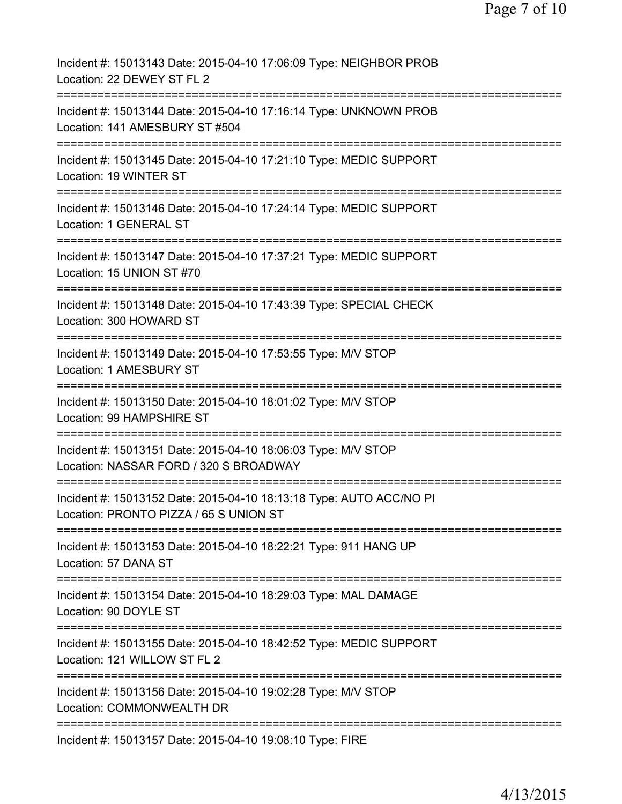| Incident #: 15013143 Date: 2015-04-10 17:06:09 Type: NEIGHBOR PROB<br>Location: 22 DEWEY ST FL 2              |
|---------------------------------------------------------------------------------------------------------------|
| Incident #: 15013144 Date: 2015-04-10 17:16:14 Type: UNKNOWN PROB<br>Location: 141 AMESBURY ST #504           |
| Incident #: 15013145 Date: 2015-04-10 17:21:10 Type: MEDIC SUPPORT<br>Location: 19 WINTER ST                  |
| Incident #: 15013146 Date: 2015-04-10 17:24:14 Type: MEDIC SUPPORT<br>Location: 1 GENERAL ST                  |
| Incident #: 15013147 Date: 2015-04-10 17:37:21 Type: MEDIC SUPPORT<br>Location: 15 UNION ST #70               |
| Incident #: 15013148 Date: 2015-04-10 17:43:39 Type: SPECIAL CHECK<br>Location: 300 HOWARD ST                 |
| Incident #: 15013149 Date: 2015-04-10 17:53:55 Type: M/V STOP<br>Location: 1 AMESBURY ST                      |
| Incident #: 15013150 Date: 2015-04-10 18:01:02 Type: M/V STOP<br>Location: 99 HAMPSHIRE ST                    |
| Incident #: 15013151 Date: 2015-04-10 18:06:03 Type: M/V STOP<br>Location: NASSAR FORD / 320 S BROADWAY       |
| Incident #: 15013152 Date: 2015-04-10 18:13:18 Type: AUTO ACC/NO PI<br>Location: PRONTO PIZZA / 65 S UNION ST |
| Incident #: 15013153 Date: 2015-04-10 18:22:21 Type: 911 HANG UP<br>Location: 57 DANA ST                      |
| Incident #: 15013154 Date: 2015-04-10 18:29:03 Type: MAL DAMAGE<br>Location: 90 DOYLE ST                      |
| Incident #: 15013155 Date: 2015-04-10 18:42:52 Type: MEDIC SUPPORT<br>Location: 121 WILLOW ST FL 2            |
| Incident #: 15013156 Date: 2015-04-10 19:02:28 Type: M/V STOP<br>Location: COMMONWEALTH DR                    |
| =================<br>Incident #: 15013157 Date: 2015-04-10 19:08:10 Type: FIRE                                |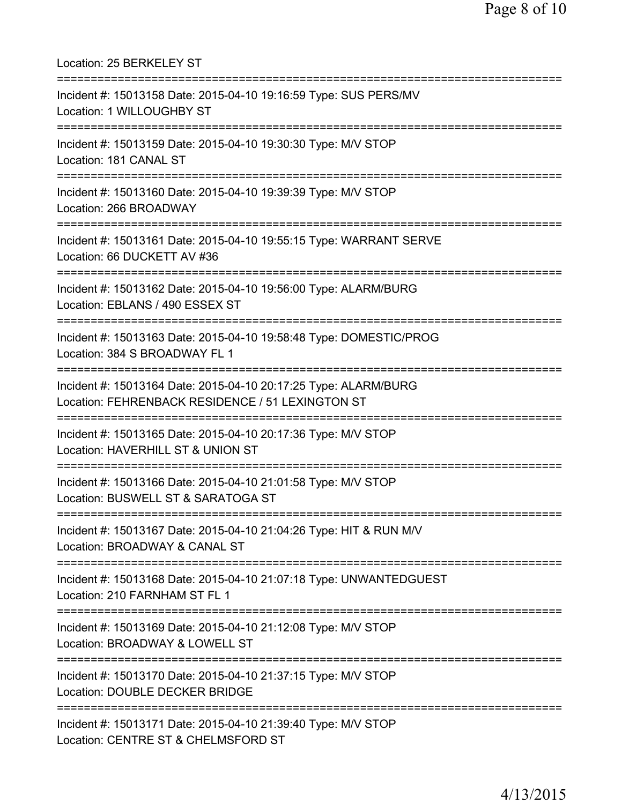| Location: 25 BERKELEY ST                                                                                                           |
|------------------------------------------------------------------------------------------------------------------------------------|
| Incident #: 15013158 Date: 2015-04-10 19:16:59 Type: SUS PERS/MV<br>Location: 1 WILLOUGHBY ST                                      |
| Incident #: 15013159 Date: 2015-04-10 19:30:30 Type: M/V STOP<br>Location: 181 CANAL ST                                            |
| Incident #: 15013160 Date: 2015-04-10 19:39:39 Type: M/V STOP<br>Location: 266 BROADWAY                                            |
| Incident #: 15013161 Date: 2015-04-10 19:55:15 Type: WARRANT SERVE<br>Location: 66 DUCKETT AV #36                                  |
| Incident #: 15013162 Date: 2015-04-10 19:56:00 Type: ALARM/BURG<br>Location: EBLANS / 490 ESSEX ST                                 |
| Incident #: 15013163 Date: 2015-04-10 19:58:48 Type: DOMESTIC/PROG<br>Location: 384 S BROADWAY FL 1                                |
| Incident #: 15013164 Date: 2015-04-10 20:17:25 Type: ALARM/BURG<br>Location: FEHRENBACK RESIDENCE / 51 LEXINGTON ST                |
| Incident #: 15013165 Date: 2015-04-10 20:17:36 Type: M/V STOP<br>Location: HAVERHILL ST & UNION ST<br>============================ |
| Incident #: 15013166 Date: 2015-04-10 21:01:58 Type: M/V STOP<br>Location: BUSWELL ST & SARATOGA ST                                |
| Incident #: 15013167 Date: 2015-04-10 21:04:26 Type: HIT & RUN M/V<br>Location: BROADWAY & CANAL ST                                |
| Incident #: 15013168 Date: 2015-04-10 21:07:18 Type: UNWANTEDGUEST<br>Location: 210 FARNHAM ST FL 1                                |
| Incident #: 15013169 Date: 2015-04-10 21:12:08 Type: M/V STOP<br>Location: BROADWAY & LOWELL ST                                    |
| Incident #: 15013170 Date: 2015-04-10 21:37:15 Type: M/V STOP<br>Location: DOUBLE DECKER BRIDGE                                    |
| Incident #: 15013171 Date: 2015-04-10 21:39:40 Type: M/V STOP<br>Location: CENTRE ST & CHELMSFORD ST                               |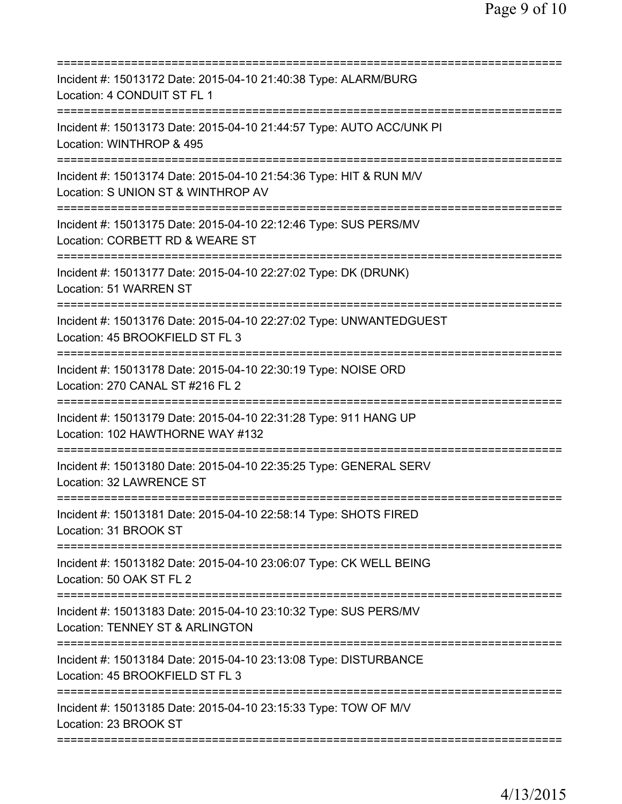| ========================                                                                                                              |
|---------------------------------------------------------------------------------------------------------------------------------------|
| Incident #: 15013172 Date: 2015-04-10 21:40:38 Type: ALARM/BURG<br>Location: 4 CONDUIT ST FL 1                                        |
| Incident #: 15013173 Date: 2015-04-10 21:44:57 Type: AUTO ACC/UNK PI<br>Location: WINTHROP & 495                                      |
| Incident #: 15013174 Date: 2015-04-10 21:54:36 Type: HIT & RUN M/V<br>Location: S UNION ST & WINTHROP AV<br>========================= |
| Incident #: 15013175 Date: 2015-04-10 22:12:46 Type: SUS PERS/MV<br>Location: CORBETT RD & WEARE ST                                   |
| Incident #: 15013177 Date: 2015-04-10 22:27:02 Type: DK (DRUNK)<br>Location: 51 WARREN ST                                             |
| Incident #: 15013176 Date: 2015-04-10 22:27:02 Type: UNWANTEDGUEST<br>Location: 45 BROOKFIELD ST FL 3                                 |
| Incident #: 15013178 Date: 2015-04-10 22:30:19 Type: NOISE ORD<br>Location: 270 CANAL ST #216 FL 2                                    |
| Incident #: 15013179 Date: 2015-04-10 22:31:28 Type: 911 HANG UP<br>Location: 102 HAWTHORNE WAY #132                                  |
| Incident #: 15013180 Date: 2015-04-10 22:35:25 Type: GENERAL SERV<br>Location: 32 LAWRENCE ST                                         |
| Incident #: 15013181 Date: 2015-04-10 22:58:14 Type: SHOTS FIRED<br>Location: 31 BROOK ST                                             |
| ===================================<br>Incident #: 15013182 Date: 2015-04-10 23:06:07 Type: CK WELL BEING<br>Location: 50 OAK ST FL 2 |
| Incident #: 15013183 Date: 2015-04-10 23:10:32 Type: SUS PERS/MV<br>Location: TENNEY ST & ARLINGTON                                   |
| Incident #: 15013184 Date: 2015-04-10 23:13:08 Type: DISTURBANCE<br>Location: 45 BROOKFIELD ST FL 3                                   |
| Incident #: 15013185 Date: 2015-04-10 23:15:33 Type: TOW OF M/V<br>Location: 23 BROOK ST                                              |
|                                                                                                                                       |